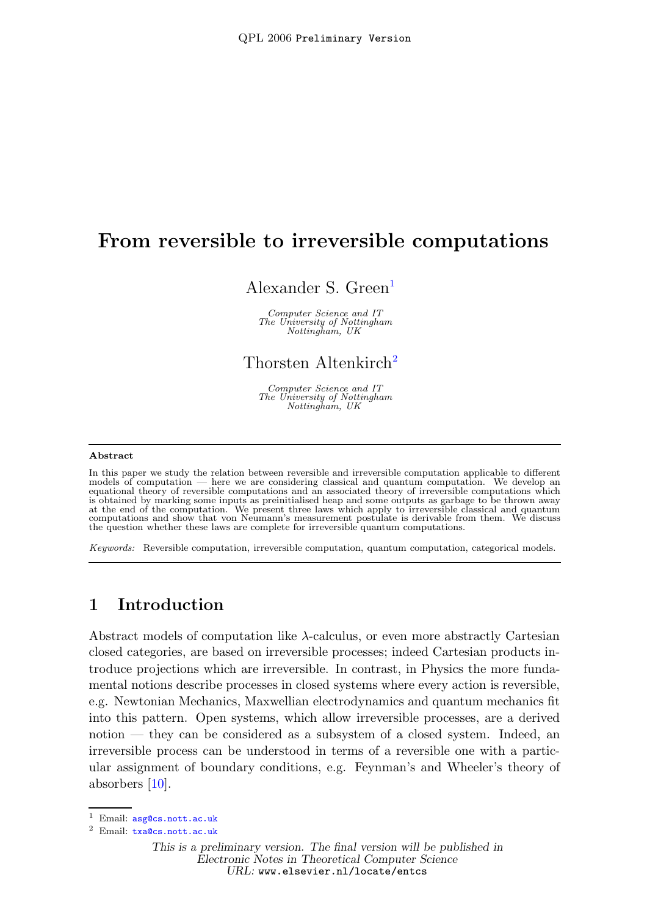# From reversible to irreversible computations

#### Alexander S. Green<sup>[1](#page-0-0)</sup>

Computer Science and IT The University of Nottingham Nottingham, UK

## Thorsten Altenkirch [2](#page-0-0)

Computer Science and IT The University of Nottingham Nottingham, UK

#### <span id="page-0-0"></span>Abstract

In this paper we study the relation between reversible and irreversible computation applicable to different models of computation — here we are considering classical and quantum computation. We develop an equational theory of reversible computations and an associated theory of irreversible computations which is obtained by marking some inputs as preinitialised heap and some outputs as garbage to be thrown away at the end of the computation. We present three laws which apply to irreversible classical and quantum computations and show that von Neumann's measurement postulate is derivable from them. We discuss the question whether these laws are complete for irreversible quantum computations.

Keywords: Reversible computation, irreversible computation, quantum computation, categorical models.

### 1 Introduction

Abstract models of computation like  $\lambda$ -calculus, or even more abstractly Cartesian closed categories, are based on irreversible processes; indeed Cartesian products introduce projections which are irreversible. In contrast, in Physics the more fundamental notions describe processes in closed systems where every action is reversible, e.g. Newtonian Mechanics, Maxwellian electrodynamics and quantum mechanics fit into this pattern. Open systems, which allow irreversible processes, are a derived notion — they can be considered as a subsystem of a closed system. Indeed, an irreversible process can be understood in terms of a reversible one with a particular assignment of boundary conditions, e.g. Feynman's and Wheeler's theory of absorbers [\[10\]](#page-9-0).

<sup>1</sup> Email: [asg@cs.nott.ac.uk](mailto:asg@cs.nott.ac.uk)

<sup>2</sup> Email: [txa@cs.nott.ac.uk](mailto:txa@cs.nott.ac.uk)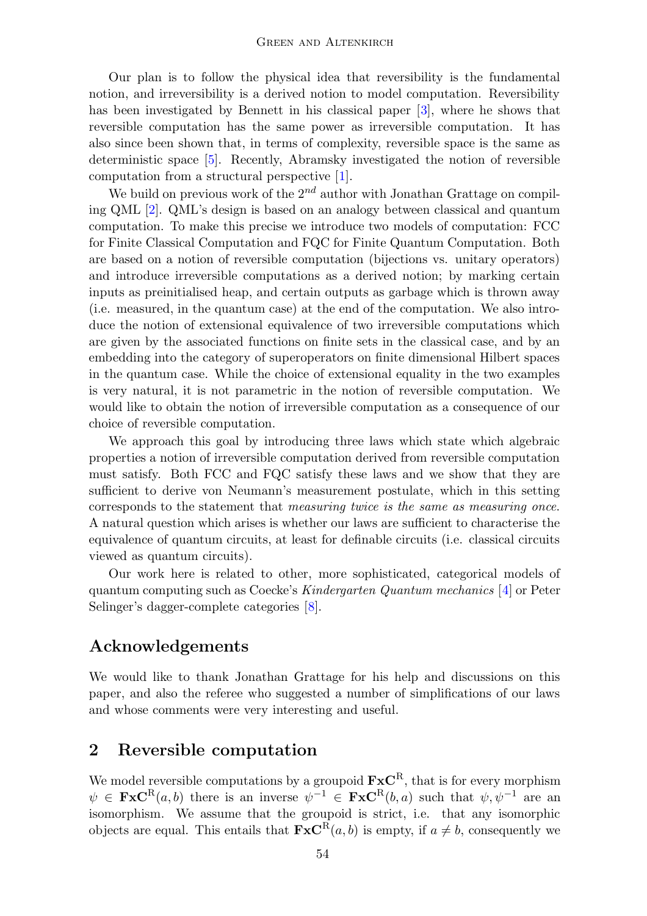Our plan is to follow the physical idea that reversibility is the fundamental notion, and irreversibility is a derived notion to model computation. Reversibility has been investigated by Bennett in his classical paper [\[3\]](#page-9-1), where he shows that reversible computation has the same power as irreversible computation. It has also since been shown that, in terms of complexity, reversible space is the same as deterministic space [\[5\]](#page-9-2). Recently, Abramsky investigated the notion of reversible computation from a structural perspective [\[1\]](#page-9-3).

We build on previous work of the  $2^{nd}$  author with Jonathan Grattage on compiling QML [\[2\]](#page-9-4). QML's design is based on an analogy between classical and quantum computation. To make this precise we introduce two models of computation: FCC for Finite Classical Computation and FQC for Finite Quantum Computation. Both are based on a notion of reversible computation (bijections vs. unitary operators) and introduce irreversible computations as a derived notion; by marking certain inputs as preinitialised heap, and certain outputs as garbage which is thrown away (i.e. measured, in the quantum case) at the end of the computation. We also introduce the notion of extensional equivalence of two irreversible computations which are given by the associated functions on finite sets in the classical case, and by an embedding into the category of superoperators on finite dimensional Hilbert spaces in the quantum case. While the choice of extensional equality in the two examples is very natural, it is not parametric in the notion of reversible computation. We would like to obtain the notion of irreversible computation as a consequence of our choice of reversible computation.

We approach this goal by introducing three laws which state which algebraic properties a notion of irreversible computation derived from reversible computation must satisfy. Both FCC and FQC satisfy these laws and we show that they are sufficient to derive von Neumann's measurement postulate, which in this setting corresponds to the statement that measuring twice is the same as measuring once. A natural question which arises is whether our laws are sufficient to characterise the equivalence of quantum circuits, at least for definable circuits (i.e. classical circuits viewed as quantum circuits).

Our work here is related to other, more sophisticated, categorical models of quantum computing such as Coecke's Kindergarten Quantum mechanics [\[4\]](#page-9-5) or Peter Selinger's dagger-complete categories [\[8\]](#page-9-6).

## Acknowledgements

We would like to thank Jonathan Grattage for his help and discussions on this paper, and also the referee who suggested a number of simplifications of our laws and whose comments were very interesting and useful.

#### 2 Reversible computation

We model reversible computations by a groupoid  $\mathbf{F} \mathbf{x} \mathbf{C}^R$ , that is for every morphism  $\psi \in \text{FxC}^{\text{R}}(a, b)$  there is an inverse  $\psi^{-1} \in \text{FxC}^{\text{R}}(b, a)$  such that  $\psi, \psi^{-1}$  are an isomorphism. We assume that the groupoid is strict, i.e. that any isomorphic objects are equal. This entails that  $\mathbf{FxC}^{R}(a, b)$  is empty, if  $a \neq b$ , consequently we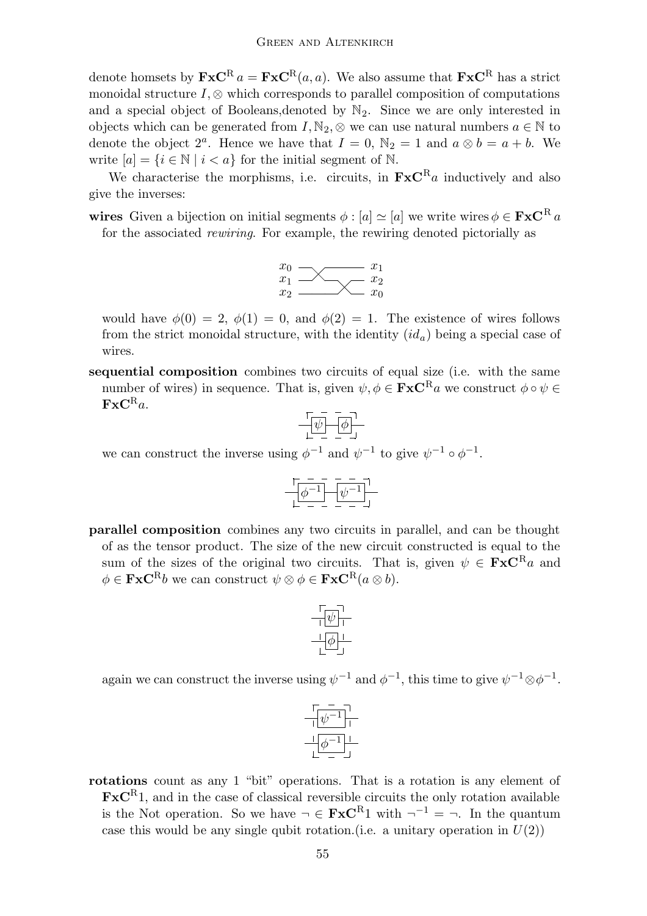denote homsets by  $\mathbf{F} \mathbf{x} \mathbf{C}^R a = \mathbf{F} \mathbf{x} \mathbf{C}^R (a, a)$ . We also assume that  $\mathbf{F} \mathbf{x} \mathbf{C}^R$  has a strict monoidal structure  $I, \otimes$  which corresponds to parallel composition of computations and a special object of Booleans, denoted by  $\mathbb{N}_2$ . Since we are only interested in objects which can be generated from  $I, \mathbb{N}_2, \otimes$  we can use natural numbers  $a \in \mathbb{N}$  to denote the object  $2^a$ . Hence we have that  $I = 0$ ,  $\mathbb{N}_2 = 1$  and  $a \otimes b = a + b$ . We write  $[a] = \{i \in \mathbb{N} \mid i < a\}$  for the initial segment of N.

We characterise the morphisms, i.e. circuits, in  $\mathbf{F} \mathbf{x} \mathbf{C}^R a$  inductively and also give the inverses:

wires Given a bijection on initial segments  $\phi : [a] \simeq [a]$  we write wires  $\phi \in \mathbf{F} \times \mathbf{C}^R$  a for the associated rewiring. For example, the rewiring denoted pictorially as



would have  $\phi(0) = 2$ ,  $\phi(1) = 0$ , and  $\phi(2) = 1$ . The existence of wires follows from the strict monoidal structure, with the identity  $(id<sub>a</sub>)$  being a special case of wires.

sequential composition combines two circuits of equal size (i.e. with the same number of wires) in sequence. That is, given  $\psi, \phi \in \mathbf{F} \times \mathbf{C}^R$  we construct  $\phi \circ \psi \in$  $\mathbf{FxC}^{\mathrm{R}}a$ .

$$
\begin{array}{c}\n\sqrt{1-\frac{1}{2}} \\
\sqrt{1-\frac{1}{2}} \\
\sqrt{1-\frac{1}{2}} \\
\sqrt{1-\frac{1}{2}} \\
\sqrt{1-\frac{1}{2}} \\
\sqrt{1-\frac{1}{2}} \\
\sqrt{1-\frac{1}{2}} \\
\sqrt{1-\frac{1}{2}} \\
\sqrt{1-\frac{1}{2}} \\
\sqrt{1-\frac{1}{2}} \\
\sqrt{1-\frac{1}{2}} \\
\sqrt{1-\frac{1}{2}} \\
\sqrt{1-\frac{1}{2}} \\
\sqrt{1-\frac{1}{2}} \\
\sqrt{1-\frac{1}{2}} \\
\sqrt{1-\frac{1}{2}} \\
\sqrt{1-\frac{1}{2}} \\
\sqrt{1-\frac{1}{2}} \\
\sqrt{1-\frac{1}{2}} \\
\sqrt{1-\frac{1}{2}} \\
\sqrt{1-\frac{1}{2}} \\
\sqrt{1-\frac{1}{2}} \\
\sqrt{1-\frac{1}{2}} \\
\sqrt{1-\frac{1}{2}} \\
\sqrt{1-\frac{1}{2}} \\
\sqrt{1-\frac{1}{2}} \\
\sqrt{1-\frac{1}{2}} \\
\sqrt{1-\frac{1}{2}} \\
\sqrt{1-\frac{1}{2}} \\
\sqrt{1-\frac{1}{2}} \\
\sqrt{1-\frac{1}{2}} \\
\sqrt{1-\frac{1}{2}} \\
\sqrt{1-\frac{1}{2}} \\
\sqrt{1-\frac{1}{2}} \\
\sqrt{1-\frac{1}{2}} \\
\sqrt{1-\frac{1}{2}} \\
\sqrt{1-\frac{1}{2}} \\
\sqrt{1-\frac{1}{2}} \\
\sqrt{1-\frac{1}{2}} \\
\sqrt{1-\frac{1}{2}} \\
\sqrt{1-\frac{1}{2}} \\
\sqrt{1-\frac{1}{2}} \\
\sqrt{1-\frac{1}{2}} \\
\sqrt{1-\frac{1}{2}} \\
\sqrt{1-\frac{1}{2}} \\
\sqrt{1-\frac{1}{2}} \\
\sqrt{1-\frac{1}{2}} \\
\sqrt{1-\frac{1}{2}} \\
\sqrt{1-\frac{1}{2}} \\
\sqrt{1-\frac{1}{2}} \\
\sqrt{1-\frac{1}{2}} \\
\sqrt{1-\frac{1}{2}} \\
\sqrt{1-\frac{1}{2}} \\
\sqrt{1-\frac{1}{2}} \\
\sqrt{1-\frac{1}{2}} \\
\sqrt{1-\frac{1}{2}} \\
\sqrt{1-\frac{1}{2}} \\
\sqrt{1-\frac{1}{2}} \\
\sqrt{1-\frac{1}{2}} \\
\sqrt{1-\frac{1}{2}} \\
\sqrt{1-\frac{1}{2}} \\
\sqrt{1-\frac{1}{2}} \\
\sqrt{1-\frac{1
$$

we can construct the inverse using  $\phi^{-1}$  and  $\psi^{-1}$  to give  $\psi^{-1} \circ \phi^{-1}$ .

$$
\begin{array}{c}\n\begin{bmatrix}\n-\phantom{-} & - \\
\hline\n\end{bmatrix} & \begin{bmatrix}\n\psi^{-1} \\
\hline\n\end{bmatrix}\n\\
\begin{array}{c}\n-\phantom{-} \\
-\phantom{-} \\
-\phantom{-} \\
-\phantom{-} \\
-\end{array}\n\end{array}
$$

parallel composition combines any two circuits in parallel, and can be thought of as the tensor product. The size of the new circuit constructed is equal to the sum of the sizes of the original two circuits. That is, given  $\psi \in \mathbf{Fx}C^{R}a$  and  $\phi \in \mathbf{FxC}^{R}b$  we can construct  $\psi \otimes \phi \in \mathbf{FxC}^{R}(a \otimes b).$ 



again we can construct the inverse using  $\psi^{-1}$  and  $\phi^{-1}$ , this time to give  $\psi^{-1} \otimes \phi^{-1}$ .



rotations count as any 1 "bit" operations. That is a rotation is any element of  $\mathbf{F} \mathbf{x} \mathbf{C}^R$ 1, and in the case of classical reversible circuits the only rotation available is the Not operation. So we have  $\neg \in \mathbf{Fx}C^{R_1}$  with  $\neg^{-1} = \neg$ . In the quantum case this would be any single qubit rotation.(i.e. a unitary operation in  $U(2)$ )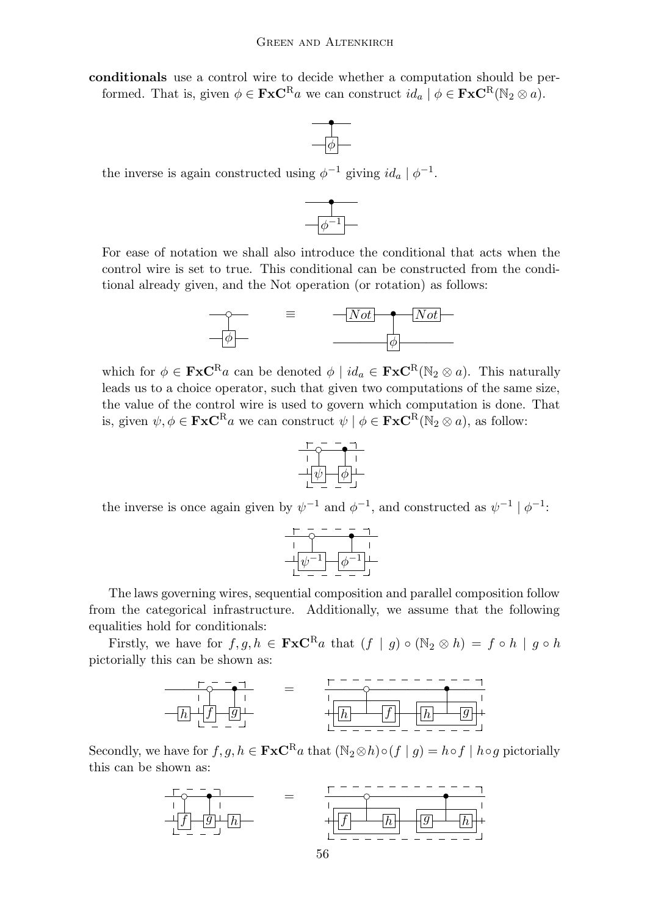conditionals use a control wire to decide whether a computation should be performed. That is, given  $\phi \in \mathbf{FxC}^{\mathbf{R}}$  we can construct  $id_a | \phi \in \mathbf{FxC}^{\mathbf{R}}(\mathbb{N}_2 \otimes a)$ .



the inverse is again constructed using  $\phi^{-1}$  giving  $id_a | \phi^{-1}$ .



For ease of notation we shall also introduce the conditional that acts when the control wire is set to true. This conditional can be constructed from the conditional already given, and the Not operation (or rotation) as follows:



which for  $\phi \in \mathbf{F} \mathbf{x} \mathbf{C}^{\mathbf{R}} a$  can be denoted  $\phi \mid id_a \in \mathbf{F} \mathbf{x} \mathbf{C}^{\mathbf{R}}(\mathbb{N}_2 \otimes a)$ . This naturally leads us to a choice operator, such that given two computations of the same size, the value of the control wire is used to govern which computation is done. That is, given  $\psi, \phi \in \mathbf{FxC}^{\mathbf{R}}$  we can construct  $\psi \mid \phi \in \mathbf{FxC}^{\mathbf{R}}(\mathbb{N}_2 \otimes a)$ , as follow:



the inverse is once again given by  $\psi^{-1}$  and  $\phi^{-1}$ , and constructed as  $\psi^{-1} | \phi^{-1}$ :



The laws governing wires, sequential composition and parallel composition follow from the categorical infrastructure. Additionally, we assume that the following equalities hold for conditionals:

Firstly, we have for  $f, g, h \in \mathbf{FxC}^{\mathbf{R}}$  a that  $(f | g) \circ (\mathbb{N}_2 \otimes h) = f \circ h | g \circ h$ pictorially this can be shown as:



Secondly, we have for  $f, g, h \in \mathbf{FxC}^{\mathbf{R}}$  a that  $(\mathbb{N}_2 \otimes h) \circ (f \mid g) = h \circ f \mid h \circ g$  pictorially this can be shown as:

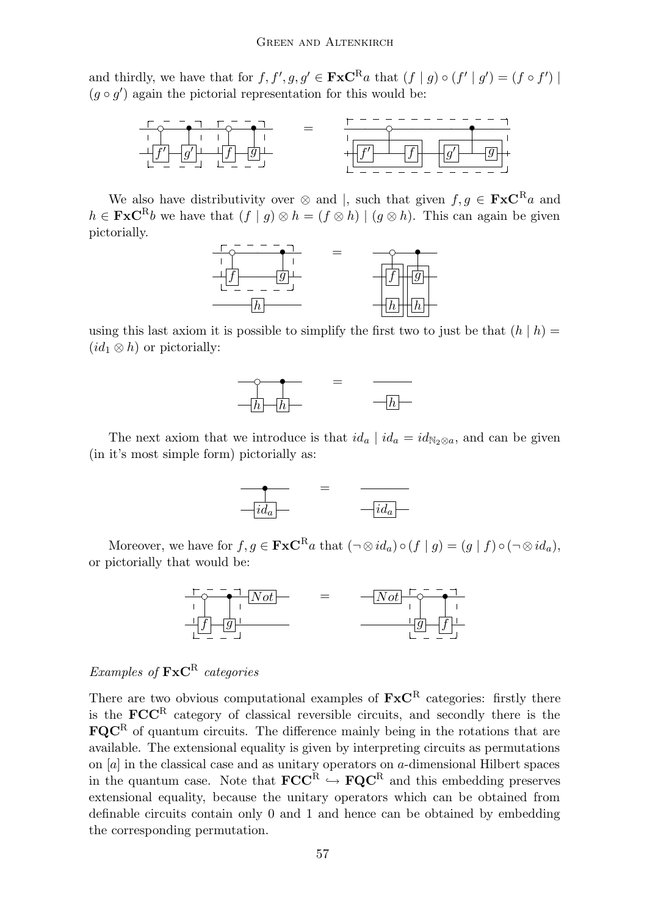and thirdly, we have that for  $f, f', g, g' \in \mathbf{F} \mathbf{x} \mathbf{C}^{\mathbf{R}} a$  that  $(f | g) \circ (f' | g') = (f \circ f') |$  $(g \circ g')$  again the pictorial representation for this would be:



We also have distributivity over  $\otimes$  and |, such that given  $f, g \in \mathbf{Fx}C^Ra$  and  $h \in \mathbf{Fx}C^Rb$  we have that  $(f | g) \otimes h = (f \otimes h) | (g \otimes h)$ . This can again be given pictorially.



using this last axiom it is possible to simplify the first two to just be that  $(h | h)$  =  $(id_1 \otimes h)$  or pictorially:



The next axiom that we introduce is that  $id_a | id_a = id_{\mathbb{N}_2 \otimes a}$ , and can be given (in it's most simple form) pictorially as:



Moreover, we have for  $f, g \in \mathbf{Fx}C^{\mathbf{R}}a$  that  $(\neg \otimes id_a) \circ (f \mid g) = (g \mid f) \circ (\neg \otimes id_a)$ , or pictorially that would be:



#### Examples of  $\text{FxC}^R$  categories

There are two obvious computational examples of  $\mathbf{FxC}^R$  categories: firstly there is the  $\mathbf{FCC}^R$  category of classical reversible circuits, and secondly there is the  $\mathbf{FQC}^R$  of quantum circuits. The difference mainly being in the rotations that are available. The extensional equality is given by interpreting circuits as permutations on  $[a]$  in the classical case and as unitary operators on  $a$ -dimensional Hilbert spaces in the quantum case. Note that  $\mathbf{FCC}^R \hookrightarrow \mathbf{FQC}^R$  and this embedding preserves extensional equality, because the unitary operators which can be obtained from definable circuits contain only 0 and 1 and hence can be obtained by embedding the corresponding permutation.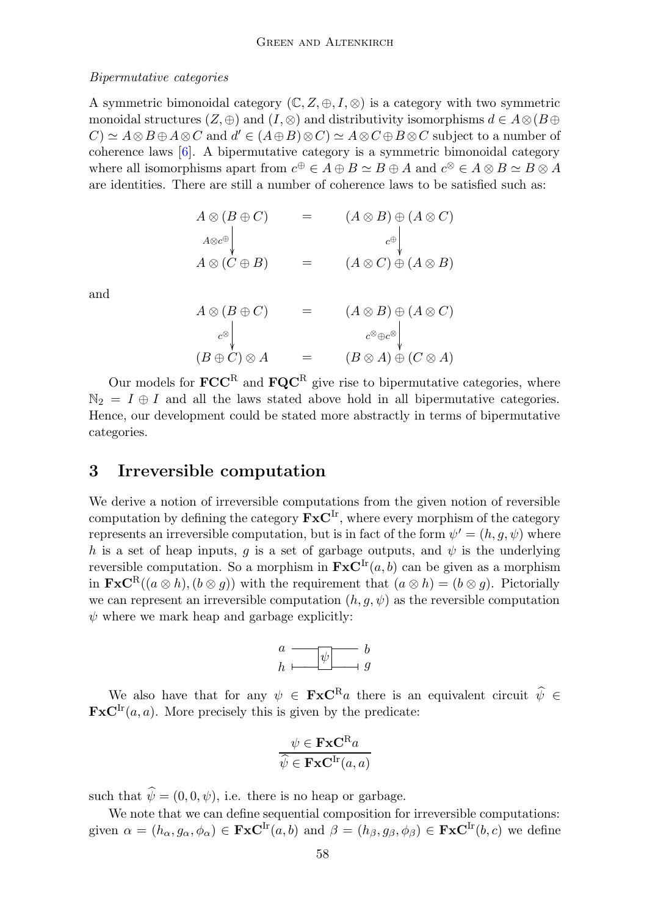#### Bipermutative categories

A symmetric bimonoidal category  $(\mathbb{C}, Z, \oplus, I, \otimes)$  is a category with two symmetric monoidal structures  $(Z, \oplus)$  and  $(I, \otimes)$  and distributivity isomorphisms  $d \in A \otimes (B \oplus$  $(C) \simeq A \otimes B \oplus A \otimes C$  and  $d' \in (A \oplus B) \otimes C \simeq A \otimes C \oplus B \otimes C$  subject to a number of coherence laws [\[6\]](#page-9-7). A bipermutative category is a symmetric bimonoidal category where all isomorphisms apart from  $c^{\oplus} \in A \oplus B \simeq B \oplus A$  and  $c^{\otimes} \in A \otimes B \simeq B \otimes A$ are identities. There are still a number of coherence laws to be satisfied such as:

$$
A \otimes (B \oplus C) = (A \otimes B) \oplus (A \otimes C)
$$
  
\n
$$
A \otimes c^{\oplus} \downarrow
$$
  
\n
$$
A \otimes (C \oplus B) = (A \otimes C) \oplus (A \otimes B)
$$

and

$$
A \otimes (B \oplus C) = (A \otimes B) \oplus (A \otimes C)
$$
  

$$
c^{\otimes} \downarrow
$$
  

$$
(B \oplus C) \otimes A = (B \otimes A) \oplus (C \otimes A)
$$

Our models for  $\mathbf{FCC}^R$  and  $\mathbf{FQC}^R$  give rise to bipermutative categories, where  $\mathbb{N}_2 = I \oplus I$  and all the laws stated above hold in all bipermutative categories. Hence, our development could be stated more abstractly in terms of bipermutative categories.

## 3 Irreversible computation

We derive a notion of irreversible computations from the given notion of reversible computation by defining the category  $\mathbf{F} \mathbf{x} \mathbf{C}^{\text{Ir}}$ , where every morphism of the category represents an irreversible computation, but is in fact of the form  $\psi' = (h, g, \psi)$  where h is a set of heap inputs, q is a set of garbage outputs, and  $\psi$  is the underlying reversible computation. So a morphism in  $\mathbf{F} \mathbf{x} \mathbf{C}^{\text{Ir}}(a, b)$  can be given as a morphism in  $\mathbf{FxC}^{R}((a \otimes h), (b \otimes q))$  with the requirement that  $(a \otimes h) = (b \otimes g)$ . Pictorially we can represent an irreversible computation  $(h, q, \psi)$  as the reversible computation  $\psi$  where we mark heap and garbage explicitly:



We also have that for any  $\psi \in \mathbf{F} \mathbf{x} \mathbf{C}^R a$  there is an equivalent circuit  $\hat{\psi} \in \mathbf{F} \mathbf{x} \mathbf{C}^R a$  $\mathbf{FxC}^{\text{Ir}}(a, a)$ . More precisely this is given by the predicate:

$$
\frac{\psi \in \mathbf{FxC}^{R}a}{\widehat{\psi} \in \mathbf{FxC}^{Ir}(a,a)}
$$

such that  $\hat{\psi} = (0, 0, \psi)$ , i.e. there is no heap or garbage.

We note that we can define sequential composition for irreversible computations: given  $\alpha = (h_{\alpha}, g_{\alpha}, \phi_{\alpha}) \in \textbf{FxC}^{\text{Ir}}(a, b)$  and  $\beta = (h_{\beta}, g_{\beta}, \phi_{\beta}) \in \textbf{FxC}^{\text{Ir}}(b, c)$  we define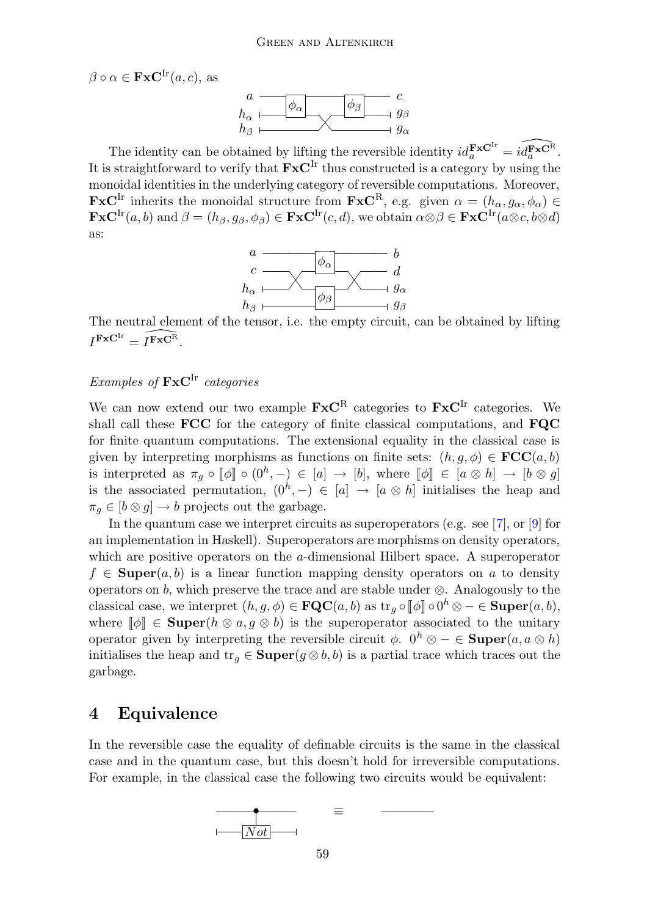$\beta \circ \alpha \in \mathbf{FxC}^{\text{Ir}}(a, c)$ , as



The identity can be obtained by lifting the reversible identity  $id_a^{\mathbf{F} \times \mathbf{C}^{Ir}} = id_a^{\mathbf{F} \times \mathbf{C}^{R}}$ . It is straightforward to verify that  $\mathbf{F} \mathbf{x} \mathbf{C}^{\text{Ir}}$  thus constructed is a category by using the monoidal identities in the underlying category of reversible computations. Moreover,  $\mathbf{F} \mathbf{x} \mathbf{C}^{\text{Ir}}$  inherits the monoidal structure from  $\mathbf{F} \mathbf{x} \mathbf{C}^{\text{R}}$ , e.g. given  $\alpha = (h_{\alpha}, g_{\alpha}, \phi_{\alpha}) \in$  $\mathbf{FxC}^{\text{Ir}}(a, b) \text{ and } \beta=(h_{\beta}, g_{\beta}, \phi_{\beta})\in \mathbf{FxC}^{\text{Ir}}(c, d), \text{ we obtain } \alpha\otimes \beta\in \mathbf{FxC}^{\text{Ir}}(a\otimes c, b\otimes d)$ as:



The neutral element of the tensor, i.e. the empty circuit, can be obtained by lifting  $I^{\mathbf{FxC}^{\mathrm{Ir}}}=\widehat{I^{\mathbf{FxC}^{\mathrm{R}}}}.$ 

#### Examples of  $\mathbf{F} \mathbf{x} \mathbf{C}^{\text{Ir}}$  categories

We can now extend our two example  $\mathbf{F} \mathbf{x} \mathbf{C}^{\text{R}}$  categories to  $\mathbf{F} \mathbf{x} \mathbf{C}^{\text{Ir}}$  categories. We shall call these FCC for the category of finite classical computations, and FQC for finite quantum computations. The extensional equality in the classical case is given by interpreting morphisms as functions on finite sets:  $(h, g, \phi) \in \mathbf{FCC}(a, b)$ is interpreted as  $\pi_g \circ [\![\phi]\!] \circ (0^h, -) \in [a] \rightarrow [b],$  where  $[\![\phi]\!] \in [a \otimes h] \rightarrow [b \otimes g]$ is the associated permutation,  $(0^h, -) \in [a] \to [a \otimes h]$  initialises the heap and  $\pi_q \in [b \otimes g] \to b$  projects out the garbage.

In the quantum case we interpret circuits as superoperators (e.g. see [\[7\]](#page-9-8), or [\[9\]](#page-9-9) for an implementation in Haskell). Superoperators are morphisms on density operators, which are positive operators on the a-dimensional Hilbert space. A superoperator  $f \in \text{Super}(a, b)$  is a linear function mapping density operators on a to density operators on b, which preserve the trace and are stable under  $\otimes$ . Analogously to the classical case, we interpret  $(h, g, \phi) \in \mathbf{FQC}(a, b)$  as  $\text{tr}_g \circ [\![\phi]\!] \circ 0^h \otimes - \in \mathbf{Super}(a, b)$ , where  $\llbracket \phi \rrbracket \in \textbf{Super}(h \otimes a, g \otimes b)$  is the superoperator associated to the unitary operator given by interpreting the reversible circuit  $\phi$ .  $0^h \otimes - \in \textbf{Super}(a, a \otimes h)$ initialises the heap and  $\text{tr}_g \in \textbf{Super}(g \otimes b, b)$  is a partial trace which traces out the garbage.

#### 4 Equivalence

In the reversible case the equality of definable circuits is the same in the classical case and in the quantum case, but this doesn't hold for irreversible computations. For example, in the classical case the following two circuits would be equivalent:

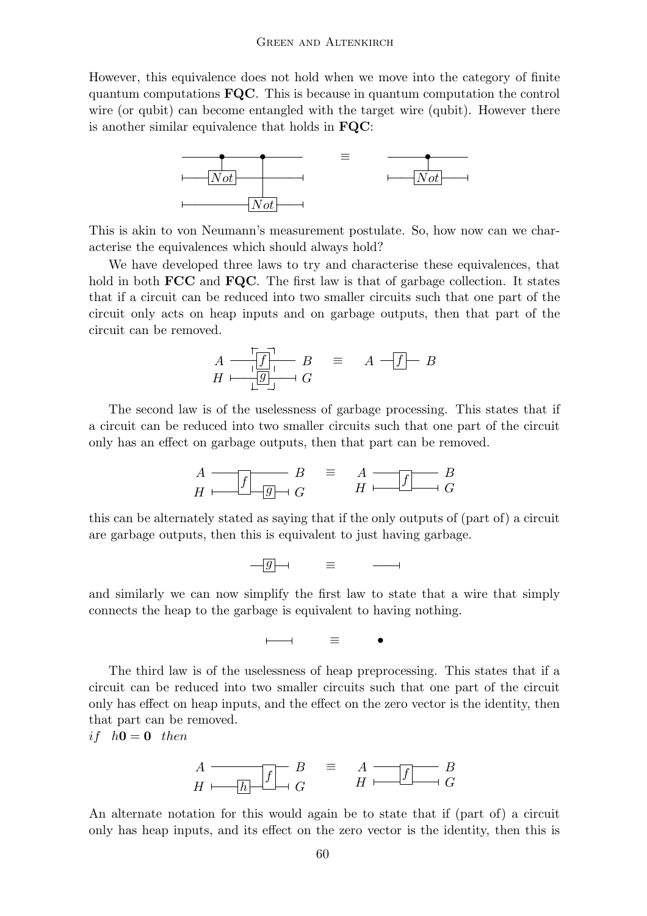However, this equivalence does not hold when we move into the category of finite quantum computations FQC. This is because in quantum computation the control wire (or qubit) can become entangled with the target wire (qubit). However there is another similar equivalence that holds in FQC:



This is akin to von Neumann's measurement postulate. So, how now can we characterise the equivalences which should always hold?

We have developed three laws to try and characterise these equivalences, that hold in both **FCC** and **FQC**. The first law is that of garbage collection. It states that if a circuit can be reduced into two smaller circuits such that one part of the circuit only acts on heap inputs and on garbage outputs, then that part of the circuit can be removed.

$$
A \xrightarrow{\qquad \qquad \boxed{f} \qquad} B \qquad \equiv \qquad A \xrightarrow{\qquad \qquad} F \qquad B
$$

$$
H \xrightarrow{\qquad \qquad \boxed{g} \qquad} G
$$

The second law is of the uselessness of garbage processing. This states that if a circuit can be reduced into two smaller circuits such that one part of the circuit only has an effect on garbage outputs, then that part can be removed.

$$
A \longrightarrow B \qquad \equiv \qquad A \longrightarrow B
$$
  

$$
H \longrightarrow G \qquad \equiv \qquad A \longrightarrow B
$$
  

$$
H \longrightarrow G
$$

this can be alternately stated as saying that if the only outputs of (part of) a circuit are garbage outputs, then this is equivalent to just having garbage.

$$
-\boxed{g} \rightarrow \qquad \equiv \qquad \longrightarrow
$$

and similarly we can now simplify the first law to state that a wire that simply connects the heap to the garbage is equivalent to having nothing.

$$
\qquad \qquad \longmapsto \qquad \equiv \qquad \bullet
$$

The third law is of the uselessness of heap preprocessing. This states that if a circuit can be reduced into two smaller circuits such that one part of the circuit only has effect on heap inputs, and the effect on the zero vector is the identity, then that part can be removed.

if  $h0 = 0$  then

$$
A \longrightarrow B \qquad \qquad B \qquad \equiv \qquad A \longrightarrow B
$$
  

$$
H \longrightarrow B \qquad \qquad H \longrightarrow G
$$

An alternate notation for this would again be to state that if (part of) a circuit only has heap inputs, and its effect on the zero vector is the identity, then this is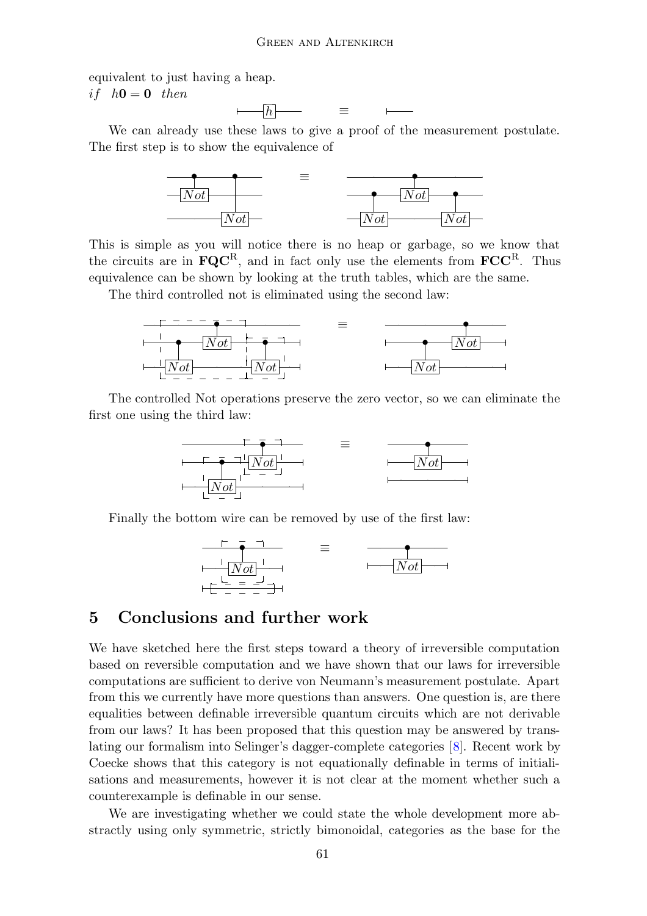equivalent to just having a heap.

if  $h0 = 0$  then

 $\overline{\phantom{a}}$  =  $\vdash$ 

We can already use these laws to give a proof of the measurement postulate. The first step is to show the equivalence of



This is simple as you will notice there is no heap or garbage, so we know that the circuits are in  $\mathbf{FQC}^R$ , and in fact only use the elements from  $\mathbf{FCC}^R$ . Thus equivalence can be shown by looking at the truth tables, which are the same.

The third controlled not is eliminated using the second law:



The controlled Not operations preserve the zero vector, so we can eliminate the first one using the third law:



Finally the bottom wire can be removed by use of the first law:

$$
\frac{1}{\frac{|\Delta x|}{1-\Delta x}} = \frac{1}{\frac{|\Delta x|}{1-\Delta x}}
$$

#### 5 Conclusions and further work

We have sketched here the first steps toward a theory of irreversible computation based on reversible computation and we have shown that our laws for irreversible computations are sufficient to derive von Neumann's measurement postulate. Apart from this we currently have more questions than answers. One question is, are there equalities between definable irreversible quantum circuits which are not derivable from our laws? It has been proposed that this question may be answered by translating our formalism into Selinger's dagger-complete categories [[8\]](#page-9-6). Recent work by Coecke shows that this category is not equationally definable in terms of initialisations and measurements, however it is not clear at the moment whether such a counterexample is definable in our sense.

We are investigating whether we could state the whole development more abstractly using only symmetric, strictly bimonoidal, categories as the base for the